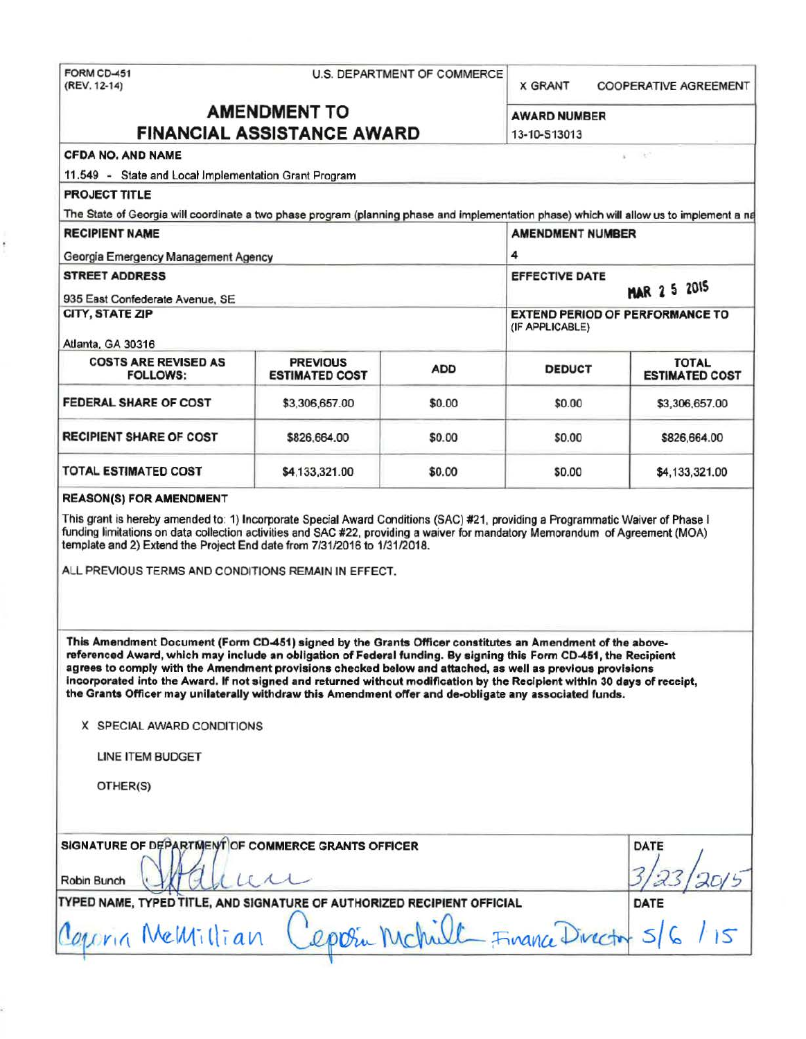# FORM CD-451 U.S. DEPARTMENT OF COMMERCE <br>(REV. 12-14) X GRANT

COOPERATIVE AGREEMENT

Tè: ×

# **AMENDMENT TO FINANCIAL ASSISTANCE AWARD** 13-10-513013

| AWARD NUMBER |  |
|--------------|--|
|              |  |

|  | CFDA NO. AND NAME |
|--|-------------------|
|  |                   |

11.549 - State and Local Implementation Grant Program

| <b>RECIPIENT NAME</b><br>Georgia Emergency Management Agency |                                          |            | <b>AMENDMENT NUMBER</b><br>4<br><b>EFFECTIVE DATE</b><br>MAR 2 5 2015 |                                       |  |
|--------------------------------------------------------------|------------------------------------------|------------|-----------------------------------------------------------------------|---------------------------------------|--|
| <b>STREET ADDRESS</b><br>935 East Confederate Avenue, SE     |                                          |            |                                                                       |                                       |  |
| CITY, STATE ZIP<br>Atlanta, GA 30316                         |                                          |            | <b>EXTEND PERIOD OF PERFORMANCE TO</b><br>(IF APPLICABLE)             |                                       |  |
| <b>COSTS ARE REVISED AS</b><br><b>FOLLOWS:</b>               | <b>PREVIOUS</b><br><b>ESTIMATED COST</b> | <b>ADD</b> | <b>DEDUCT</b>                                                         | <b>TOTAL</b><br><b>ESTIMATED COST</b> |  |
| FEDERAL SHARE OF COST                                        | \$3,306,657.00                           | \$0.00     | \$0.00                                                                | \$3,306,657.00                        |  |
| <b>RECIPIENT SHARE OF COST</b>                               | \$826,664.00                             | \$0.00     | \$0.00                                                                | \$826,664.00                          |  |
| TOTAL ESTIMATED COST                                         | \$4,133,321.00                           | \$0.00     | \$0.00                                                                | \$4,133,321.00                        |  |

# REASON(S) FOR AMENDMENT

This grant is hereby amended to: 1) Incorporate Special Award Conditions (SAC) #21. providing a Programmatic Waiver of Phase I funding limitations on data collection activities and SAC #22, providing a waiver for mandatory Memorandum of Agreement (MOA) template and 2) Extend the Project End date from 7/31/2016 to 1/31/2018.

ALL PREVIOUS TERMS AND CONDITIONS REMAIN IN EFFECT.

This Amendment Document (Form CD-451) signed by the Grants Officer constitutes an Amendment of the abovereferenced Award, which may include an obligation of Federel funding. By signing this Form CD-451, the Recipient agrees to comply with the Amendment provisions checked below and attached, as well as previous provisions Incorporated into the Award. It not signed and returned without modification by the Recipient within 30 days of receipt, the Grants Officer may unilaterally withdraw this Amendment offer and de-obligate any associated funds.

X SPECIAL AWARD CONDITIONS

UNE ITEM BUDGET

DTHER(S)

| SIGNATURE OF DEPARTMENT OF COMMERCE GRANTS OFFICER                      | DATE |
|-------------------------------------------------------------------------|------|
| Robin Bunch                                                             |      |
| TYPED NAME, TYPED TITLE, AND SIGNATURE OF AUTHORIZED RECIPIENT OFFICIAL | DATE |
| Courin Memillian Cepoin Mchult Finance Director 5/6                     |      |